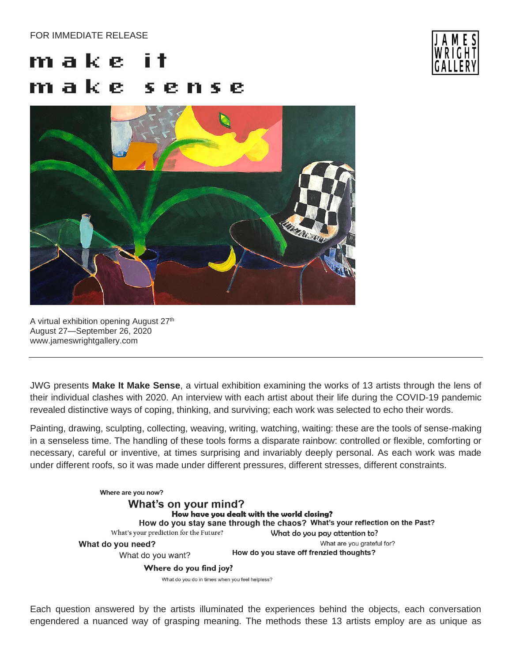## FOR IMMEDIATE RELEASE

## m a k e l m a k e l sense



A virtual exhibition opening August 27<sup>th</sup> August 27—September 26, 2020 www.jameswrightgallery.com

JWG presents **Make It Make Sense**, a virtual exhibition examining the works of 13 artists through the lens of their individual clashes with 2020. An interview with each artist about their life during the COVID-19 pandemic revealed distinctive ways of coping, thinking, and surviving; each work was selected to echo their words.

Painting, drawing, sculpting, collecting, weaving, writing, watching, waiting: these are the tools of sense-making in a senseless time. The handling of these tools forms a disparate rainbow: controlled or flexible, comforting or necessary, careful or inventive, at times surprising and invariably deeply personal. As each work was made under different roofs, so it was made under different pressures, different stresses, different constraints.



Each question answered by the artists illuminated the experiences behind the objects, each conversation engendered a nuanced way of grasping meaning. The methods these 13 artists employ are as unique as

![](_page_0_Picture_8.jpeg)